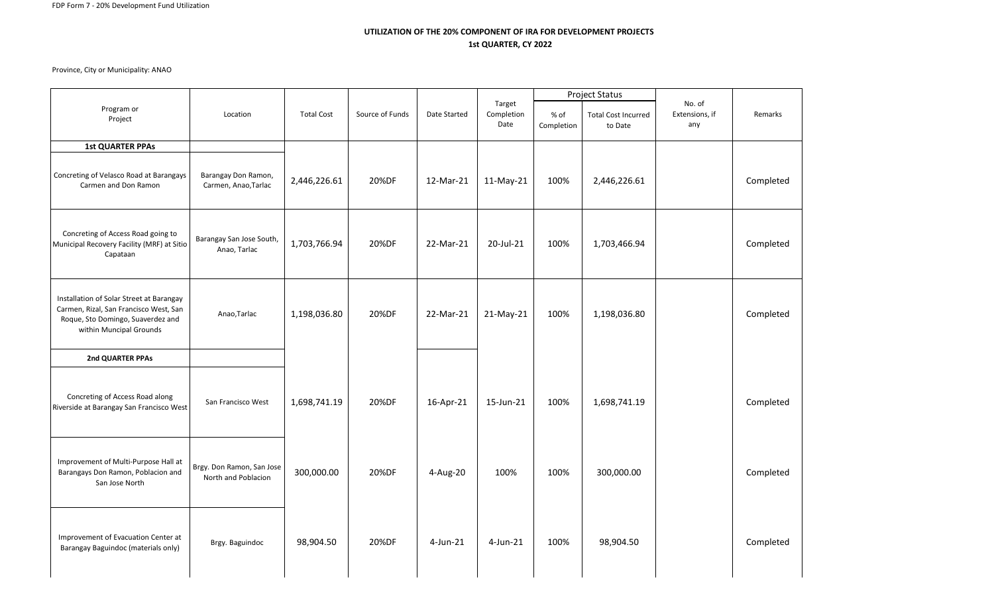## **UTILIZATION OF THE 20% COMPONENT OF IRA FOR DEVELOPMENT PROJECTS 1st QUARTER, CY 2022**

Province, City or Municipality: ANAO

|                                                                                                                                                    |                                                  |                   |                 |              |                              | <b>Project Status</b> |                                       |                                 |           |
|----------------------------------------------------------------------------------------------------------------------------------------------------|--------------------------------------------------|-------------------|-----------------|--------------|------------------------------|-----------------------|---------------------------------------|---------------------------------|-----------|
| Program or<br>Project                                                                                                                              | Location                                         | <b>Total Cost</b> | Source of Funds | Date Started | Target<br>Completion<br>Date | $%$ of<br>Completion  | <b>Total Cost Incurred</b><br>to Date | No. of<br>Extensions, if<br>any | Remarks   |
| <b>1st QUARTER PPAs</b>                                                                                                                            |                                                  |                   |                 |              |                              |                       |                                       |                                 |           |
| Concreting of Velasco Road at Barangays<br>Carmen and Don Ramon                                                                                    | Barangay Don Ramon,<br>Carmen, Anao, Tarlac      | 2,446,226.61      | 20%DF           | 12-Mar-21    | 11-May-21                    | 100%                  | 2,446,226.61                          |                                 | Completed |
| Concreting of Access Road going to<br>Municipal Recovery Facility (MRF) at Sitio<br>Capataan                                                       | Barangay San Jose South,<br>Anao, Tarlac         | 1,703,766.94      | 20%DF           | 22-Mar-21    | 20-Jul-21                    | 100%                  | 1,703,466.94                          |                                 | Completed |
| Installation of Solar Street at Barangay<br>Carmen, Rizal, San Francisco West, San<br>Roque, Sto Domingo, Suaverdez and<br>within Muncipal Grounds | Anao, Tarlac                                     | 1,198,036.80      | 20%DF           | 22-Mar-21    | 21-May-21                    | 100%                  | 1,198,036.80                          |                                 | Completed |
| 2nd QUARTER PPAs                                                                                                                                   |                                                  |                   |                 |              |                              |                       |                                       |                                 |           |
| Concreting of Access Road along<br>Riverside at Barangay San Francisco West                                                                        | San Francisco West                               | 1,698,741.19      | 20%DF           | 16-Apr-21    | 15-Jun-21                    | 100%                  | 1,698,741.19                          |                                 | Completed |
| Improvement of Multi-Purpose Hall at<br>Barangays Don Ramon, Poblacion and<br>San Jose North                                                       | Brgy. Don Ramon, San Jose<br>North and Poblacion | 300,000.00        | 20%DF           | 4-Aug-20     | 100%                         | 100%                  | 300,000.00                            |                                 | Completed |
| Improvement of Evacuation Center at<br>Barangay Baguindoc (materials only)                                                                         | Brgy. Baguindoc                                  | 98,904.50         | 20%DF           | $4$ -Jun-21  | $4$ -Jun-21                  | 100%                  | 98,904.50                             |                                 | Completed |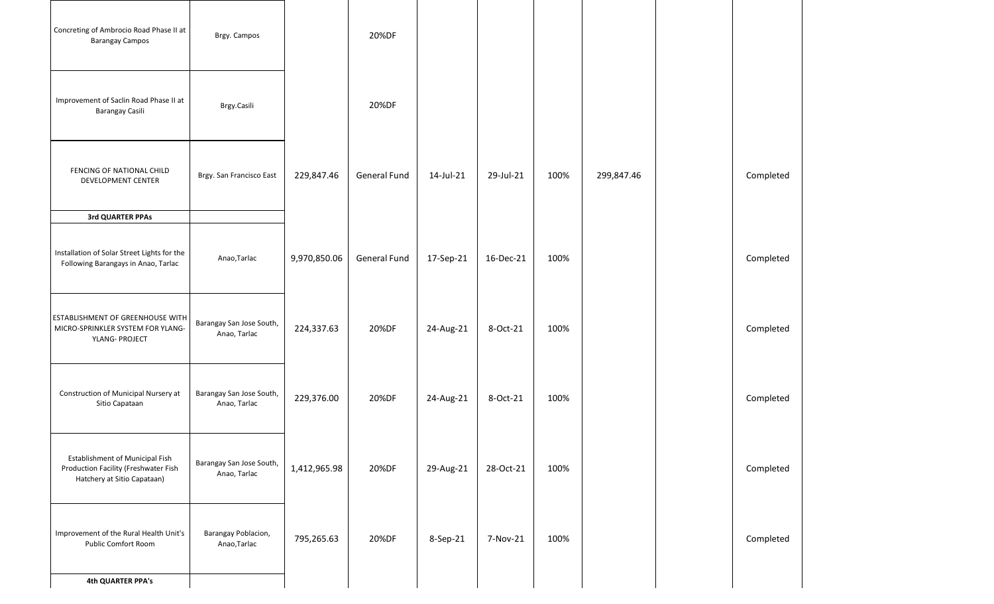| Concreting of Ambrocio Road Phase II at<br><b>Barangay Campos</b>                                             | Brgy. Campos                             |              | 20%DF        |           |           |      |            |           |
|---------------------------------------------------------------------------------------------------------------|------------------------------------------|--------------|--------------|-----------|-----------|------|------------|-----------|
| Improvement of Saclin Road Phase II at<br>Barangay Casili                                                     | Brgy.Casili                              |              | 20%DF        |           |           |      |            |           |
| FENCING OF NATIONAL CHILD<br>DEVELOPMENT CENTER                                                               | Brgy. San Francisco East                 | 229,847.46   | General Fund | 14-Jul-21 | 29-Jul-21 | 100% | 299,847.46 | Completed |
| 3rd QUARTER PPAs                                                                                              |                                          |              |              |           |           |      |            |           |
| Installation of Solar Street Lights for the<br>Following Barangays in Anao, Tarlac                            | Anao, Tarlac                             | 9,970,850.06 | General Fund | 17-Sep-21 | 16-Dec-21 | 100% |            | Completed |
| <b>ESTABLISHMENT OF GREENHOUSE WITH</b><br>MICRO-SPRINKLER SYSTEM FOR YLANG-<br>YLANG- PROJECT                | Barangay San Jose South,<br>Anao, Tarlac | 224,337.63   | 20%DF        | 24-Aug-21 | 8-Oct-21  | 100% |            | Completed |
| Construction of Municipal Nursery at<br>Sitio Capataan                                                        | Barangay San Jose South,<br>Anao, Tarlac | 229,376.00   | 20%DF        | 24-Aug-21 | 8-Oct-21  | 100% |            | Completed |
| <b>Establishment of Municipal Fish</b><br>Production Facility (Freshwater Fish<br>Hatchery at Sitio Capataan) | Barangay San Jose South,<br>Anao, Tarlac | 1,412,965.98 | 20%DF        | 29-Aug-21 | 28-Oct-21 | 100% |            | Completed |
| Improvement of the Rural Health Unit's<br><b>Public Comfort Room</b>                                          | Barangay Poblacion,<br>Anao, Tarlac      | 795,265.63   | 20%DF        | 8-Sep-21  | 7-Nov-21  | 100% |            | Completed |
| <b>4th QUARTER PPA's</b>                                                                                      |                                          |              |              |           |           |      |            |           |